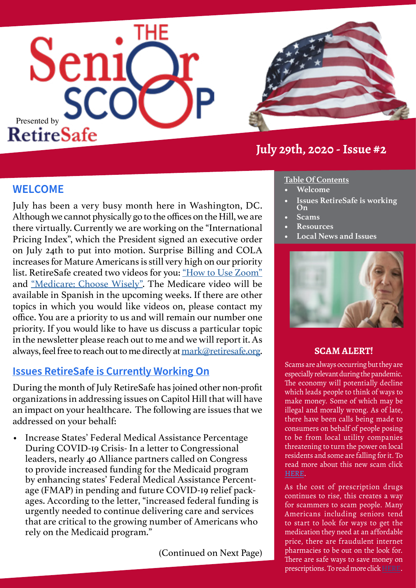



## **July 29th, 2020 - Issue #2**

#### **WELCOME**

July has been a very busy month here in Washington, DC. Although we cannot physically go to the offices on the Hill, we are there virtually. Currently we are working on the "International Pricing Index", which the President signed an executive order on July 24th to put into motion. Surprise Billing and COLA increases for Mature Americans is still very high on our priority list. RetireSafe created two videos for you: ["How to Use Zoom"](https://www.retiresafe.org/zoom-meeting-tutorial/) and ["Medicare: Choose Wisely"](https://www.youtube.com/watch?v=rvcSIQEZKbo&feature=youtu.be). The Medicare video will be available in Spanish in the upcoming weeks. If there are other topics in which you would like videos on, please contact my office. You are a priority to us and will remain our number one priority. If you would like to have us discuss a particular topic in the newsletter please reach out to me and we will report it. As always, feel free to reach out to me directly at [mark@retiresafe.org.](mailto:mark%40retiresafe.org?subject=)

#### **Issues RetireSafe is Currently Working On**

During the month of July RetireSafe has joined other non-profit organizations in addressing issues on Capitol Hill that will have an impact on your healthcare. The following are issues that we addressed on your behalf:

• Increase States' Federal Medical Assistance Percentage During COVID-19 Crisis- In a letter to Congressional leaders, nearly 40 Alliance partners called on Congress to provide increased funding for the Medicaid program by enhancing states' Federal Medical Assistance Percentage (FMAP) in pending and future COVID-19 relief packages. According to the letter, "increased federal funding is urgently needed to continue delivering care and services that are critical to the growing number of Americans who rely on the Medicaid program."

(Continued on Next Page)

#### **Table Of Contents**

- **• Welcome**
- **• Issues RetireSafe is working On**
- **• Scams**
- **• Resources**
- **• Local News and Issues**



#### **SCAM ALERT!**

Scams are always occurring but they are especially relevant during the pandemic. The economy will potentially decline which leads people to think of ways to make money. Some of which may be illegal and morally wrong. As of late, there have been calls being made to consumers on behalf of people posing to be from local utility companies threatening to turn the power on local residents and some are falling for it. To read more about this new scam click [HERE](https://www.fraud.org/utility_imposter_fraud_alert?utm_campaign=july_2020_fraud_alert&utm_medium=email&utm_source=ncl).

As the cost of prescription drugs continues to rise, this creates a way for scammers to scam people. Many Americans including seniors tend to start to look for ways to get the medication they need at an affordable price, there are fraudulent internet pharmacies to be out on the look for. There are safe ways to save money on prescriptions. To read more click [HERE](https://www.fraud.org/fake_rx_alert).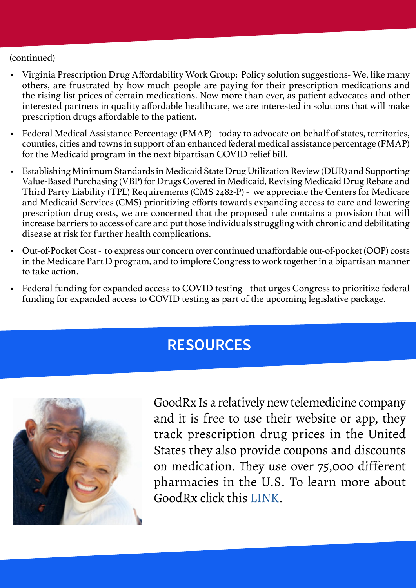#### (continued)

- Virginia Prescription Drug Affordability Work Group: Policy solution suggestions- We, like many others, are frustrated by how much people are paying for their prescription medications and the rising list prices of certain medications. Now more than ever, as patient advocates and other interested partners in quality affordable healthcare, we are interested in solutions that will make prescription drugs affordable to the patient.
- Federal Medical Assistance Percentage (FMAP) today to advocate on behalf of states, territories, counties, cities and towns in support of an enhanced federal medical assistance percentage (FMAP) for the Medicaid program in the next bipartisan COVID relief bill.
- Establishing Minimum Standards in Medicaid State Drug Utilization Review (DUR) and Supporting Value-Based Purchasing (VBP) for Drugs Covered in Medicaid, Revising Medicaid Drug Rebate and Third Party Liability (TPL) Requirements (CMS 2482-P) - we appreciate the Centers for Medicare and Medicaid Services (CMS) prioritizing efforts towards expanding access to care and lowering prescription drug costs, we are concerned that the proposed rule contains a provision that will increase barriers to access of care and put those individuals struggling with chronic and debilitating disease at risk for further health complications.
- Out-of-Pocket Cost to express our concern over continued unaffordable out-of-pocket (OOP) costs in the Medicare Part D program, and to implore Congress to work together in a bipartisan manner to take action.
- Federal funding for expanded access to COVID testing that urges Congress to prioritize federal funding for expanded access to COVID testing as part of the upcoming legislative package.

## **RESOURCES**



GoodRx Is a relatively new telemedicine company and it is free to use their website or app, they track prescription drug prices in the United States they also provide coupons and discounts on medication. They use over 75,000 different pharmacies in the U.S. To learn more about GoodRx click this [LINK](https://clark.com/health-health-care/good-rx/).